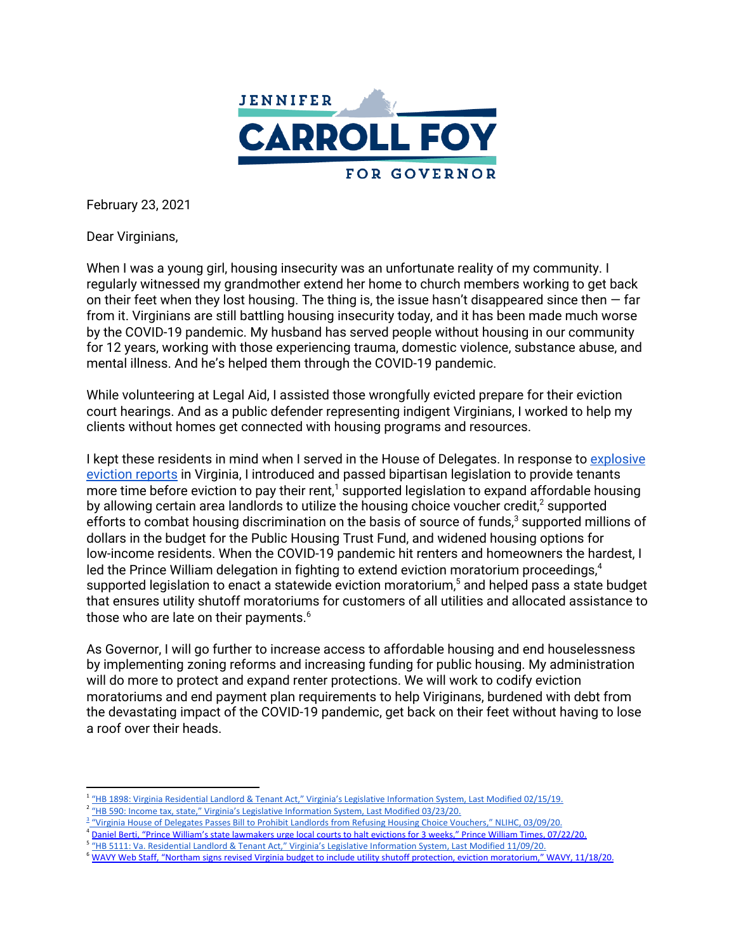

February 23, 2021

Dear Virginians,

When I was a young girl, housing insecurity was an unfortunate reality of my community. I regularly witnessed my grandmother extend her home to church members working to get back on their feet when they lost housing. The thing is, the issue hasn't disappeared since then  $-$  far from it. Virginians are still battling housing insecurity today, and it has been made much worse by the COVID-19 pandemic. My husband has served people without housing in our community for 12 years, working with those experiencing trauma, domestic violence, substance abuse, and mental illness. And he's helped them through the COVID-19 pandemic.

While volunteering at Legal Aid, I assisted those wrongfully evicted prepare for their eviction court hearings. And as a public defender representing indigent Virginians, I worked to help my clients without homes get connected with housing programs and resources.

I kept these residents in mind when I served in the House of Delegates. In response to [explosive](https://www.nytimes.com/interactive/2018/04/07/upshot/millions-of-eviction-records-a-sweeping-new-look-at-housing-in-america.html) [eviction](https://www.nytimes.com/interactive/2018/04/07/upshot/millions-of-eviction-records-a-sweeping-new-look-at-housing-in-america.html) reports in Virginia, I introduced and passed bipartisan legislation to provide tenants more time before eviction to pay their rent, $^1$  supported legislation to expand affordable housing by allowing certain area landlords to utilize the housing choice voucher credit,<sup>2</sup> supported efforts to combat housing discrimination on the basis of source of funds, $3$  supported millions of dollars in the budget for the Public Housing Trust Fund, and widened housing options for low-income residents. When the COVID-19 pandemic hit renters and homeowners the hardest, I led the Prince William delegation in fighting to extend eviction moratorium proceedings, 4 supported legislation to enact a statewide eviction moratorium, <sup>5</sup> and helped pass a state budget that ensures utility shutoff moratoriums for customers of all utilities and allocated assistance to those who are late on their payments. $^6$ 

As Governor, I will go further to increase access to affordable housing and end houselessness by implementing zoning reforms and increasing funding for public housing. My administration will do more to protect and expand renter protections. We will work to codify eviction moratoriums and end payment plan requirements to help Viriginans, burdened with debt from the devastating impact of the COVID-19 pandemic, get back on their feet without having to lose a roof over their heads.

<sup>&</sup>lt;sup>1</sup> "HB 1898: Virginia Residential Landlord & Tenant Act," Virginia's Legislative [Information](https://lis.virginia.gov/cgi-bin/legp604.exe?191+sum+HB1898) System, Last Modified 02/15/19.

<sup>&</sup>lt;sup>2</sup> "HB 590: Income tax, state," Virginia's Legislative [Information](https://lis.virginia.gov/cgi-bin/legp604.exe?201+sum+HB590) System, Last Modified 03/23/20.

<sup>&</sup>lt;sup>3</sup> "Virginia House of Delegates Passes Bill to Prohibit Landlords from Refusing Housing Choice [Vouchers,"](https://nlihc.org/resource/virginia-house-delegates-passes-bill-prohibit-landlords-refusing-housing-choice-vouchers) NLIHC, 03/09/20.

<sup>4</sup> Daniel Berti, "Prince William's state [lawmakers](https://www.princewilliamtimes.com/news/prince-williams-state-lawmakers-urge-local-courts-to-halt-evictions-for-3-weeks/article_ea334524-cc38-11ea-9368-f7ec2e72a33e.html) urge local courts to halt evictions for 3 weeks," Prince William Times, 07/22/20.

<sup>&</sup>lt;sup>5</sup> "HB 5111: Va. Residential Landlord & Tenant Act," Virginia's Legislative [Information](https://lis.virginia.gov/cgi-bin/legp604.exe?ses=202&typ=bil&val=Hb5111) System, Last Modified 11/09/20.

<sup>&</sup>lt;sup>6</sup> WAVY Web Staff, "Northam signs revised Virginia budget to include utility shutoff protection, eviction [moratorium,"](https://www.wavy.com/news/virginia/richmond/northam-signs-revised-virginia-budget-to-include-utility-shutoff-protection-eviction-moratorium/) WAVY, 11/18/20.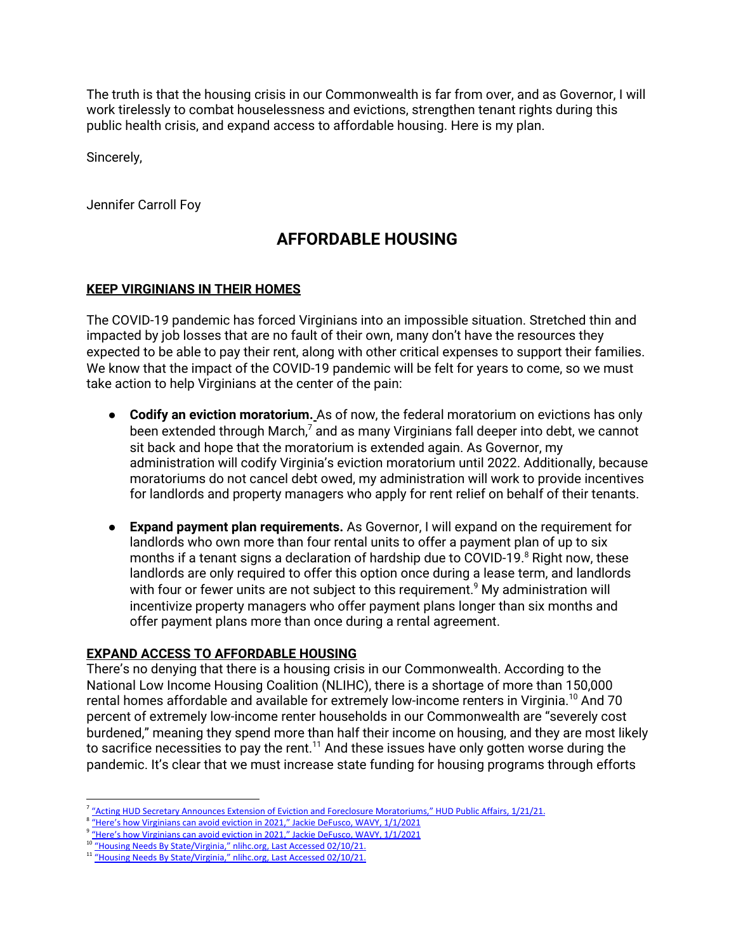The truth is that the housing crisis in our Commonwealth is far from over, and as Governor, I will work tirelessly to combat houselessness and evictions, strengthen tenant rights during this public health crisis, and expand access to affordable housing. Here is my plan.

Sincerely,

Jennifer Carroll Foy

## **AFFORDABLE HOUSING**

## **KEEP VIRGINIANS IN THEIR HOMES**

The COVID-19 pandemic has forced Virginians into an impossible situation. Stretched thin and impacted by job losses that are no fault of their own, many don't have the resources they expected to be able to pay their rent, along with other critical expenses to support their families. We know that the impact of the COVID-19 pandemic will be felt for years to come, so we must take action to help Virginians at the center of the pain:

- **Codify an eviction moratorium.** As of now, the federal moratorium on evictions has only been extended through March, $^7$  and as many Virginians fall deeper into debt, we cannot sit back and hope that the moratorium is extended again. As Governor, my administration will codify Virginia's eviction moratorium until 2022. Additionally, because moratoriums do not cancel debt owed, my administration will work to provide incentives for landlords and property managers who apply for rent relief on behalf of their tenants.
- **Expand payment plan requirements.** As Governor, I will expand on the requirement for landlords who own more than four rental units to offer a payment plan of up to six months if a tenant signs a declaration of hardship due to COVID-19. <sup>8</sup> Right now, these landlords are only required to offer this option once during a lease term, and landlords with four or fewer units are not subject to this requirement. <sup>9</sup> My administration will incentivize property managers who offer payment plans longer than six months and offer payment plans more than once during a rental agreement.

## **EXPAND ACCESS TO AFFORDABLE HOUSING**

There's no denying that there is a housing crisis in our Commonwealth. According to the National Low Income Housing Coalition (NLIHC), there is a shortage of more than 150,000 rental homes affordable and available for extremely low-income renters in Virginia. <sup>10</sup> And 70 percent of extremely low-income renter households in our Commonwealth are "severely cost burdened," meaning they spend more than half their income on housing, and they are most likely to sacrifice necessities to pay the rent. $^{\rm 11}$  And these issues have only gotten worse during the pandemic. It's clear that we must increase state funding for housing programs through efforts

<sup>&</sup>lt;sup>7</sup> "Acting HUD Secretary Announces Extension of Eviction and Foreclosure [Moratoriums,"](https://www.hud.gov/press/press_releases_media_advisories/HUD_No_21_009#:~:text=%E2%80%9CSpecifically%2C%20HUD%20has%20extended%20the,moratorium%20until%20March%2031%2C%202021.) HUD Public Affairs, 1/21/21.

<sup>&</sup>lt;sup>8</sup> "Here's how [Virginians](https://www.wavy.com/news/virginia/richmond/heres-how-virginians-can-avoid-eviction-in-2021/) can avoid eviction in 2021," Jackie DeFusco, WAVY, 1/1/2021

<sup>&</sup>lt;sup>9</sup> "Here's how [Virginians](https://www.wavy.com/news/virginia/richmond/heres-how-virginians-can-avoid-eviction-in-2021/) can avoid eviction in 2021," Jackie DeFusco, WAVY, 1/1/2021

<sup>&</sup>lt;sup>10</sup> "Housing Needs By [State/Virginia,"](https://nlihc.org/housing-needs-by-state/virginia) nlihc.org, Last Accessed 02/10/21.

<sup>&</sup>lt;sup>11</sup> "Housing Needs By [State/Virginia,"](https://nlihc.org/housing-needs-by-state/virginia) nlihc.org, Last Accessed 02/10/21.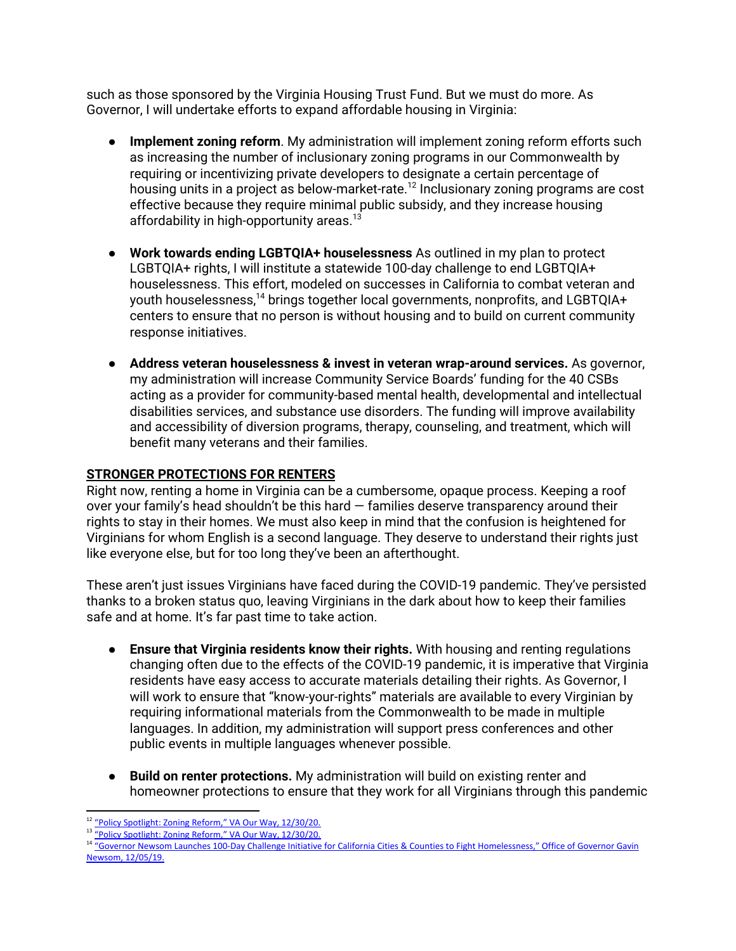such as those sponsored by the Virginia Housing Trust Fund. But we must do more. As Governor, I will undertake efforts to expand affordable housing in Virginia:

- **Implement zoning reform**. My administration will implement zoning reform efforts such as increasing the number of inclusionary zoning programs in our Commonwealth by requiring or incentivizing private developers to designate a certain percentage of housing units in a project as below-market-rate. $^{\rm 12}$  Inclusionary zoning programs are cost effective because they require minimal public subsidy, and they increase housing affordability in high-opportunity areas. 13
- **● Work towards ending LGBTQIA+ houselessness** As outlined in my plan to protect LGBTQIA+ rights, I will institute a statewide 100-day challenge to end LGBTQIA+ houselessness. This effort, modeled on successes in California to combat veteran and youth houselessness,<sup>14</sup> brings together local governments, nonprofits, and LGBTQIA+ centers to ensure that no person is without housing and to build on current community response initiatives.
- **Address veteran houselessness & invest in veteran wrap-around services.** As governor, my administration will increase Community Service Boards' funding for the 40 CSBs acting as a provider for community-based mental health, developmental and intellectual disabilities services, and substance use disorders. The funding will improve availability and accessibility of diversion programs, therapy, counseling, and treatment, which will benefit many veterans and their families.

## **STRONGER PROTECTIONS FOR RENTERS**

Right now, renting a home in Virginia can be a cumbersome, opaque process. Keeping a roof over your family's head shouldn't be this hard — families deserve transparency around their rights to stay in their homes. We must also keep in mind that the confusion is heightened for Virginians for whom English is a second language. They deserve to understand their rights just like everyone else, but for too long they've been an afterthought.

These aren't just issues Virginians have faced during the COVID-19 pandemic. They've persisted thanks to a broken status quo, leaving Virginians in the dark about how to keep their families safe and at home. It's far past time to take action.

- **Ensure that Virginia residents know their rights.** With housing and renting regulations changing often due to the effects of the COVID-19 pandemic, it is imperative that Virginia residents have easy access to accurate materials detailing their rights. As Governor, I will work to ensure that "know-your-rights" materials are available to every Virginian by requiring informational materials from the Commonwealth to be made in multiple languages. In addition, my administration will support press conferences and other public events in multiple languages whenever possible.
- **Build on renter protections.** My administration will build on existing renter and homeowner protections to ensure that they work for all Virginians through this pandemic

<sup>&</sup>lt;sup>12</sup> "Policy Spotlight: Zoning Reform," VA Our Way, [12/30/20.](https://vaourway.org/updates/f/policy-spotlight-zoning-reform)

<sup>&</sup>lt;sup>13</sup> "Policy Spotlight: Zoning Reform," VA Our Way, [12/30/20.](https://vaourway.org/updates/f/policy-spotlight-zoning-reform)

<sup>&</sup>lt;sup>14</sup> "Governor Newsom Launches 100-Day Challenge Initiative for California Cities & Counties to Fight [Homelessness,"](https://www.gov.ca.gov/2019/12/05/governor-newsom-launches-100-day-challenge-initiative-for-california-cities-counties-to-fight-homelessness/) Office of Governor Gavin Newsom, [12/05/19.](https://www.gov.ca.gov/2019/12/05/governor-newsom-launches-100-day-challenge-initiative-for-california-cities-counties-to-fight-homelessness/)